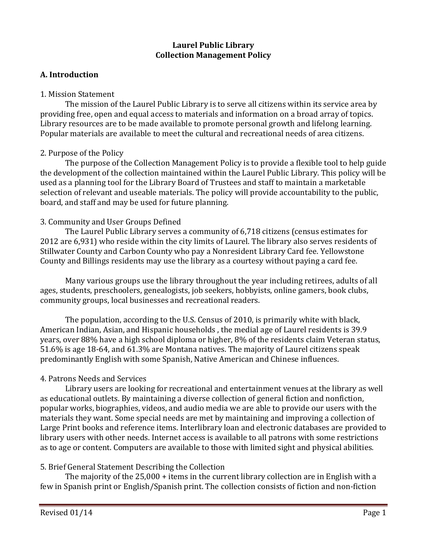## **Laurel Public Library Collection Management Policy**

## **A. Introduction**

#### 1. Mission Statement

The mission of the Laurel Public Library is to serve all citizens within its service area by providing free, open and equal access to materials and information on a broad array of topics. Library resources are to be made available to promote personal growth and lifelong learning. Popular materials are available to meet the cultural and recreational needs of area citizens.

### 2. Purpose of the Policy

The purpose of the Collection Management Policy is to provide a flexible tool to help guide the development of the collection maintained within the Laurel Public Library. This policy will be used as a planning tool for the Library Board of Trustees and staff to maintain a marketable selection of relevant and useable materials. The policy will provide accountability to the public, board, and staff and may be used for future planning.

### 3. Community and User Groups Defined

The Laurel Public Library serves a community of 6,718 citizens (census estimates for 2012 are 6,931) who reside within the city limits of Laurel. The library also serves residents of Stillwater County and Carbon County who pay a Nonresident Library Card fee. Yellowstone County and Billings residents may use the library as a courtesy without paying a card fee.

Many various groups use the library throughout the year including retirees, adults of all ages, students, preschoolers, genealogists, job seekers, hobbyists, online gamers, book clubs, community groups, local businesses and recreational readers.

The population, according to the U.S. Census of 2010, is primarily white with black, American Indian, Asian, and Hispanic households , the medial age of Laurel residents is 39.9 years, over 88% have a high school diploma or higher, 8% of the residents claim Veteran status, 51.6% is age 18-64, and 61.3% are Montana natives. The majority of Laurel citizens speak predominantly English with some Spanish, Native American and Chinese influences.

### 4. Patrons Needs and Services

Library users are looking for recreational and entertainment venues at the library as well as educational outlets. By maintaining a diverse collection of general fiction and nonfiction, popular works, biographies, videos, and audio media we are able to provide our users with the materials they want. Some special needs are met by maintaining and improving a collection of Large Print books and reference items. Interlibrary loan and electronic databases are provided to library users with other needs. Internet access is available to all patrons with some restrictions as to age or content. Computers are available to those with limited sight and physical abilities.

### 5. Brief General Statement Describing the Collection

The majority of the 25,000 + items in the current library collection are in English with a few in Spanish print or English/Spanish print. The collection consists of fiction and non-fiction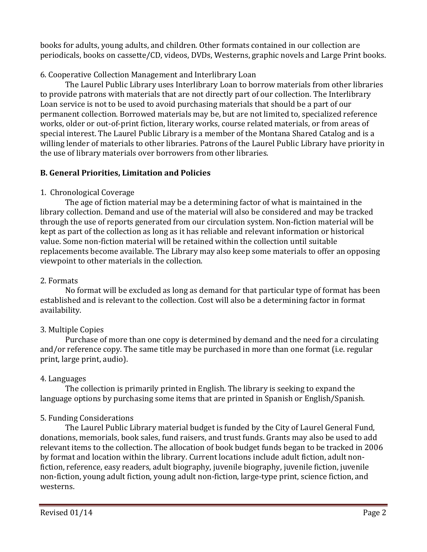books for adults, young adults, and children. Other formats contained in our collection are periodicals, books on cassette/CD, videos, DVDs, Westerns, graphic novels and Large Print books.

# 6. Cooperative Collection Management and Interlibrary Loan

The Laurel Public Library uses Interlibrary Loan to borrow materials from other libraries to provide patrons with materials that are not directly part of our collection. The Interlibrary Loan service is not to be used to avoid purchasing materials that should be a part of our permanent collection. Borrowed materials may be, but are not limited to, specialized reference works, older or out-of-print fiction, literary works, course related materials, or from areas of special interest. The Laurel Public Library is a member of the Montana Shared Catalog and is a willing lender of materials to other libraries. Patrons of the Laurel Public Library have priority in the use of library materials over borrowers from other libraries.

# **B. General Priorities, Limitation and Policies**

## 1. Chronological Coverage

The age of fiction material may be a determining factor of what is maintained in the library collection. Demand and use of the material will also be considered and may be tracked through the use of reports generated from our circulation system. Non-fiction material will be kept as part of the collection as long as it has reliable and relevant information or historical value. Some non-fiction material will be retained within the collection until suitable replacements become available. The Library may also keep some materials to offer an opposing viewpoint to other materials in the collection.

## 2. Formats

No format will be excluded as long as demand for that particular type of format has been established and is relevant to the collection. Cost will also be a determining factor in format availability.

# 3. Multiple Copies

Purchase of more than one copy is determined by demand and the need for a circulating and/or reference copy. The same title may be purchased in more than one format (i.e. regular print, large print, audio).

# 4. Languages

The collection is primarily printed in English. The library is seeking to expand the language options by purchasing some items that are printed in Spanish or English/Spanish.

# 5. Funding Considerations

The Laurel Public Library material budget is funded by the City of Laurel General Fund, donations, memorials, book sales, fund raisers, and trust funds. Grants may also be used to add relevant items to the collection. The allocation of book budget funds began to be tracked in 2006 by format and location within the library. Current locations include adult fiction, adult nonfiction, reference, easy readers, adult biography, juvenile biography, juvenile fiction, juvenile non-fiction, young adult fiction, young adult non-fiction, large-type print, science fiction, and westerns.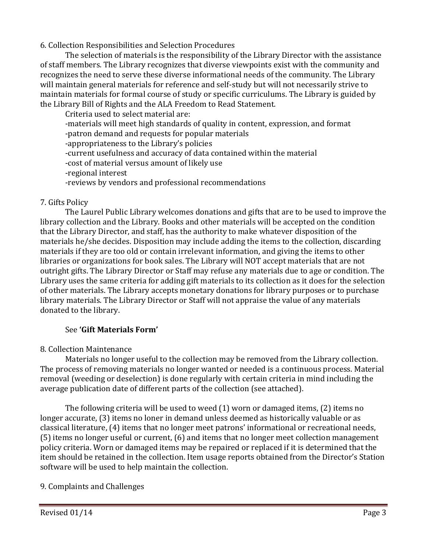6. Collection Responsibilities and Selection Procedures

The selection of materials is the responsibility of the Library Director with the assistance of staff members. The Library recognizes that diverse viewpoints exist with the community and recognizes the need to serve these diverse informational needs of the community. The Library will maintain general materials for reference and self-study but will not necessarily strive to maintain materials for formal course of study or specific curriculums. The Library is guided by the Library Bill of Rights and the ALA Freedom to Read Statement.

Criteria used to select material are:

-materials will meet high standards of quality in content, expression, and format

-patron demand and requests for popular materials

-appropriateness to the Library's policies

-current usefulness and accuracy of data contained within the material

-cost of material versus amount of likely use

-regional interest

-reviews by vendors and professional recommendations

# 7. Gifts Policy

The Laurel Public Library welcomes donations and gifts that are to be used to improve the library collection and the Library. Books and other materials will be accepted on the condition that the Library Director, and staff, has the authority to make whatever disposition of the materials he/she decides. Disposition may include adding the items to the collection, discarding materials if they are too old or contain irrelevant information, and giving the items to other libraries or organizations for book sales. The Library will NOT accept materials that are not outright gifts. The Library Director or Staff may refuse any materials due to age or condition. The Library uses the same criteria for adding gift materials to its collection as it does for the selection of other materials. The Library accepts monetary donations for library purposes or to purchase library materials. The Library Director or Staff will not appraise the value of any materials donated to the library.

# See **'Gift Materials Form'**

## 8. Collection Maintenance

Materials no longer useful to the collection may be removed from the Library collection. The process of removing materials no longer wanted or needed is a continuous process. Material removal (weeding or deselection) is done regularly with certain criteria in mind including the average publication date of different parts of the collection (see attached).

The following criteria will be used to weed (1) worn or damaged items, (2) items no longer accurate, (3) items no loner in demand unless deemed as historically valuable or as classical literature, (4) items that no longer meet patrons' informational or recreational needs, (5) items no longer useful or current, (6) and items that no longer meet collection management policy criteria. Worn or damaged items may be repaired or replaced if it is determined that the item should be retained in the collection. Item usage reports obtained from the Director's Station software will be used to help maintain the collection.

# 9. Complaints and Challenges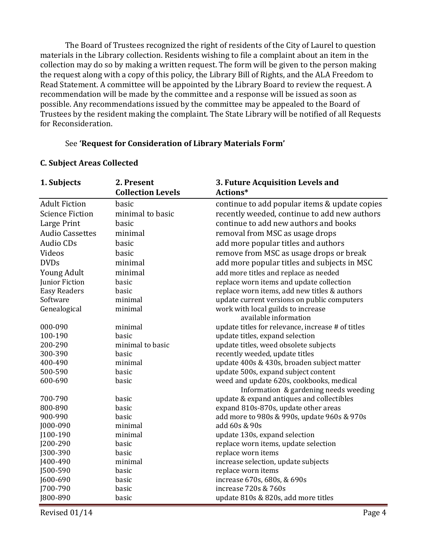The Board of Trustees recognized the right of residents of the City of Laurel to question materials in the Library collection. Residents wishing to file a complaint about an item in the collection may do so by making a written request. The form will be given to the person making the request along with a copy of this policy, the Library Bill of Rights, and the ALA Freedom to Read Statement. A committee will be appointed by the Library Board to review the request. A recommendation will be made by the committee and a response will be issued as soon as possible. Any recommendations issued by the committee may be appealed to the Board of Trustees by the resident making the complaint. The State Library will be notified of all Requests for Reconsideration.

#### See **'Request for Consideration of Library Materials Form'**

| 1. Subjects            | 2. Present               | 3. Future Acquisition Levels and                  |
|------------------------|--------------------------|---------------------------------------------------|
|                        | <b>Collection Levels</b> | Actions*                                          |
| <b>Adult Fiction</b>   | basic                    | continue to add popular items & update copies     |
| <b>Science Fiction</b> | minimal to basic         | recently weeded, continue to add new authors      |
| Large Print            | basic                    | continue to add new authors and books             |
| <b>Audio Cassettes</b> | minimal                  | removal from MSC as usage drops                   |
| <b>Audio CDs</b>       | basic                    | add more popular titles and authors               |
| Videos                 | basic                    | remove from MSC as usage drops or break           |
| <b>DVDs</b>            | minimal                  | add more popular titles and subjects in MSC       |
| <b>Young Adult</b>     | minimal                  | add more titles and replace as needed             |
| Junior Fiction         | basic                    | replace worn items and update collection          |
| <b>Easy Readers</b>    | basic                    | replace worn items, add new titles & authors      |
| Software               | minimal                  | update current versions on public computers       |
| Genealogical           | minimal                  | work with local guilds to increase                |
|                        |                          | available information                             |
| 000-090                | minimal                  | update titles for relevance, increase # of titles |
| 100-190                | basic                    | update titles, expand selection                   |
| 200-290                | minimal to basic         | update titles, weed obsolete subjects             |
| 300-390                | basic                    | recently weeded, update titles                    |
| 400-490                | minimal                  | update 400s & 430s, broaden subject matter        |
| 500-590                | basic                    | update 500s, expand subject content               |
| 600-690                | basic                    | weed and update 620s, cookbooks, medical          |
|                        |                          | Information & gardening needs weeding             |
| 700-790                | basic                    | update & expand antiques and collectibles         |
| 800-890                | basic                    | expand 810s-870s, update other areas              |
| 900-990                | basic                    | add more to 980s & 990s, update 960s & 970s       |
| J000-090               | minimal                  | add 60s & 90s                                     |
| J100-190               | minimal                  | update 130s, expand selection                     |
| <b>I200-290</b>        | basic                    | replace worn items, update selection              |
| J300-390               | basic                    | replace worn items                                |
| J400-490               | minimal                  | increase selection, update subjects               |
| J500-590               | basic                    | replace worn items                                |
| J600-690               | basic                    | increase 670s, 680s, & 690s                       |
| J700-790               | basic                    | increase 720s & 760s                              |
| J800-890               | basic                    | update 810s & 820s, add more titles               |

#### **C. Subject Areas Collected**

Revised 01/14 Page 4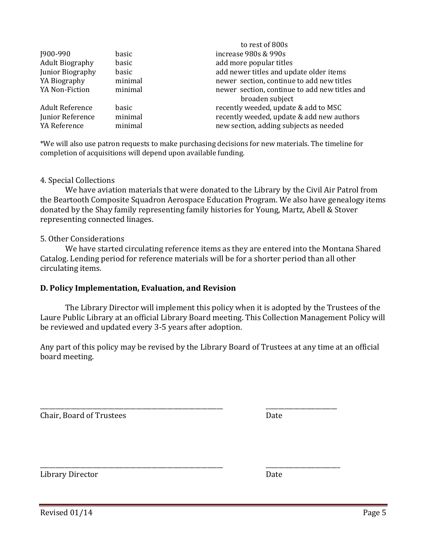|                        |              | to rest of 800s                               |
|------------------------|--------------|-----------------------------------------------|
| J900-990               | basic        | increase 980s & 990s                          |
| <b>Adult Biography</b> | basic        | add more popular titles                       |
| Junior Biography       | basic        | add newer titles and update older items       |
| YA Biography           | minimal      | newer section, continue to add new titles     |
| YA Non-Fiction         | minimal      | newer section, continue to add new titles and |
|                        |              | broaden subject                               |
| <b>Adult Reference</b> | <b>basic</b> | recently weeded, update & add to MSC          |
| Junior Reference       | minimal      | recently weeded, update & add new authors     |
| YA Reference           | minimal      | new section, adding subjects as needed        |

\*We will also use patron requests to make purchasing decisions for new materials. The timeline for completion of acquisitions will depend upon available funding.

#### 4. Special Collections

We have aviation materials that were donated to the Library by the Civil Air Patrol from the Beartooth Composite Squadron Aerospace Education Program. We also have genealogy items donated by the Shay family representing family histories for Young, Martz, Abell & Stover representing connected linages.

#### 5. Other Considerations

We have started circulating reference items as they are entered into the Montana Shared Catalog. Lending period for reference materials will be for a shorter period than all other circulating items.

#### **D. Policy Implementation, Evaluation, and Revision**

The Library Director will implement this policy when it is adopted by the Trustees of the Laure Public Library at an official Library Board meeting. This Collection Management Policy will be reviewed and updated every 3-5 years after adoption.

Any part of this policy may be revised by the Library Board of Trustees at any time at an official board meeting.

\_\_\_\_\_\_\_\_\_\_\_\_\_\_\_\_\_\_\_\_\_\_\_\_\_\_\_\_\_\_\_\_\_\_\_\_\_\_\_\_\_\_\_\_\_\_\_\_\_\_\_\_\_\_\_\_\_\_\_ \_\_\_\_\_\_\_\_\_\_\_\_\_\_\_\_\_\_\_\_\_\_\_ Chair, Board of Trustees Date

\_\_\_\_\_\_\_\_\_\_\_\_\_\_\_\_\_\_\_\_\_\_\_\_\_\_\_\_\_\_\_\_\_\_\_\_\_\_\_\_\_\_\_\_\_\_\_\_\_\_\_\_\_\_\_\_\_\_\_ \_\_\_\_\_\_\_\_\_\_\_\_\_\_\_\_\_\_\_\_\_\_\_\_ Library Director Date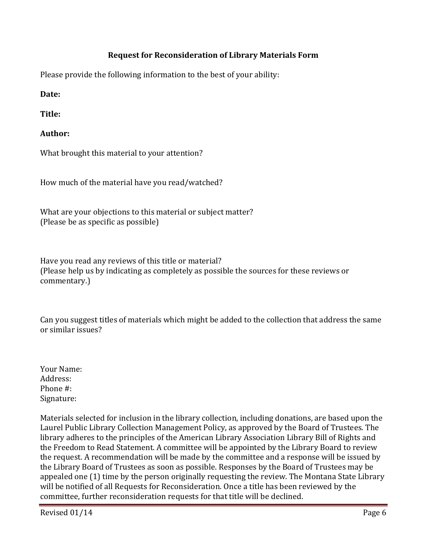## **Request for Reconsideration of Library Materials Form**

Please provide the following information to the best of your ability:

**Date:**

**Title:**

**Author:**

What brought this material to your attention?

How much of the material have you read/watched?

What are your objections to this material or subject matter? (Please be as specific as possible)

Have you read any reviews of this title or material? (Please help us by indicating as completely as possible the sources for these reviews or commentary.)

Can you suggest titles of materials which might be added to the collection that address the same or similar issues?

Your Name: Address: Phone #: Signature:

Materials selected for inclusion in the library collection, including donations, are based upon the Laurel Public Library Collection Management Policy, as approved by the Board of Trustees. The library adheres to the principles of the American Library Association Library Bill of Rights and the Freedom to Read Statement. A committee will be appointed by the Library Board to review the request. A recommendation will be made by the committee and a response will be issued by the Library Board of Trustees as soon as possible. Responses by the Board of Trustees may be appealed one (1) time by the person originally requesting the review. The Montana State Library will be notified of all Requests for Reconsideration. Once a title has been reviewed by the committee, further reconsideration requests for that title will be declined.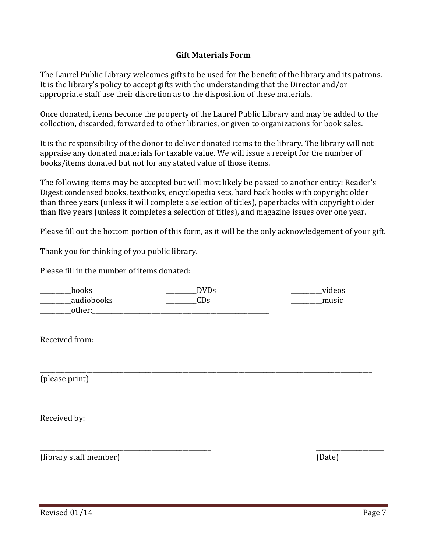### **Gift Materials Form**

The Laurel Public Library welcomes gifts to be used for the benefit of the library and its patrons. It is the library's policy to accept gifts with the understanding that the Director and/or appropriate staff use their discretion as to the disposition of these materials.

Once donated, items become the property of the Laurel Public Library and may be added to the collection, discarded, forwarded to other libraries, or given to organizations for book sales.

It is the responsibility of the donor to deliver donated items to the library. The library will not appraise any donated materials for taxable value. We will issue a receipt for the number of books/items donated but not for any stated value of those items.

The following items may be accepted but will most likely be passed to another entity: Reader's Digest condensed books, textbooks, encyclopedia sets, hard back books with copyright older than three years (unless it will complete a selection of titles), paperbacks with copyright older than five years (unless it completes a selection of titles), and magazine issues over one year.

Please fill out the bottom portion of this form, as it will be the only acknowledgement of your gift.

Thank you for thinking of you public library.

Please fill in the number of items donated:

| books                  | <b>DVDs</b> | videos |
|------------------------|-------------|--------|
| audiobooks             | CDs         | music  |
| _other:___             |             |        |
| Received from:         |             |        |
| (please print)         |             |        |
| Received by:           |             |        |
| (library staff member) |             | (Date) |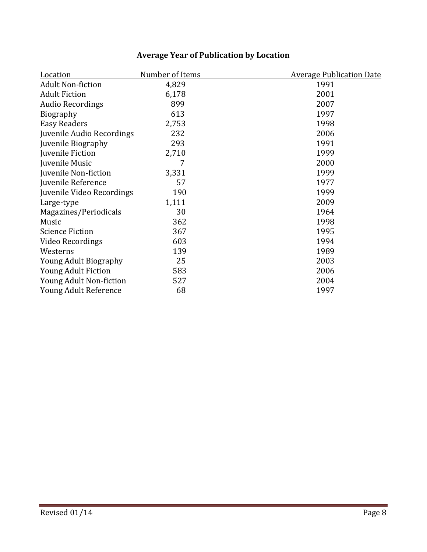| Location                   | Number of Items | <b>Average Publication Date</b> |
|----------------------------|-----------------|---------------------------------|
| <b>Adult Non-fiction</b>   | 4,829           | 1991                            |
| <b>Adult Fiction</b>       | 6,178           | 2001                            |
| <b>Audio Recordings</b>    | 899             | 2007                            |
| <b>Biography</b>           | 613             | 1997                            |
| Easy Readers               | 2,753           | 1998                            |
| Juvenile Audio Recordings  | 232             | 2006                            |
| Juvenile Biography         | 293             | 1991                            |
| Juvenile Fiction           | 2,710           | 1999                            |
| Juvenile Music             | 7               | 2000                            |
| Juvenile Non-fiction       | 3,331           | 1999                            |
| Juvenile Reference         | 57              | 1977                            |
| Juvenile Video Recordings  | 190             | 1999                            |
| Large-type                 | 1,111           | 2009                            |
| Magazines/Periodicals      | 30              | 1964                            |
| Music                      | 362             | 1998                            |
| <b>Science Fiction</b>     | 367             | 1995                            |
| Video Recordings           | 603             | 1994                            |
| Westerns                   | 139             | 1989                            |
| Young Adult Biography      | 25              | 2003                            |
| <b>Young Adult Fiction</b> | 583             | 2006                            |
| Young Adult Non-fiction    | 527             | 2004                            |
| Young Adult Reference      | 68              | 1997                            |

# **Average Year of Publication by Location**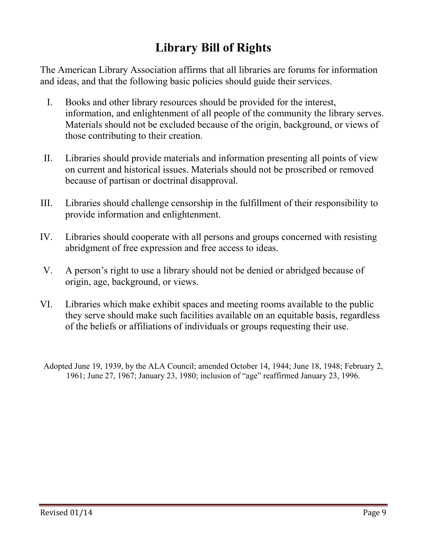# **Library Bill of Rights**

The American Library Association affirms that all libraries are forums for information and ideas, and that the following basic policies should guide their services.

- I. Books and other library resources should be provided for the interest, information, and enlightenment of all people of the community the library serves. Materials should not be excluded because of the origin, background, or views of those contributing to their creation.
- II. Libraries should provide materials and information presenting all points of view on current and historical issues. Materials should not be proscribed or removed because of partisan or doctrinal disapproval.
- III. Libraries should challenge censorship in the fulfillment of their responsibility to provide information and enlightenment.
- IV. Libraries should cooperate with all persons and groups concerned with resisting abridgment of free expression and free access to ideas.
- V. A person's right to use a library should not be denied or abridged because of origin, age, background, or views.
- VI. Libraries which make exhibit spaces and meeting rooms available to the public they serve should make such facilities available on an equitable basis, regardless of the beliefs or affiliations of individuals or groups requesting their use.

Adopted June 19, 1939, by the ALA Council; amended October 14, 1944; June 18, 1948; February 2, 1961; June 27, 1967; January 23, 1980; inclusion of "age" reaffirmed January 23, 1996.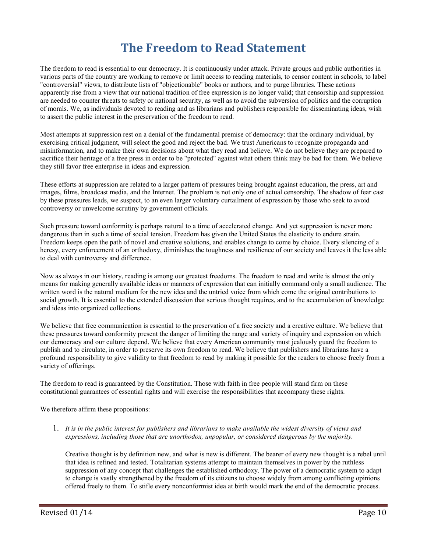# **The Freedom to Read Statement**

The freedom to read is essential to our democracy. It is continuously under attack. Private groups and public authorities in various parts of the country are working to remove or limit access to reading materials, to censor content in schools, to label "controversial" views, to distribute lists of "objectionable" books or authors, and to purge libraries. These actions apparently rise from a view that our national tradition of free expression is no longer valid; that censorship and suppression are needed to counter threats to safety or national security, as well as to avoid the subversion of politics and the corruption of morals. We, as individuals devoted to reading and as librarians and publishers responsible for disseminating ideas, wish to assert the public interest in the preservation of the freedom to read.

Most attempts at suppression rest on a denial of the fundamental premise of democracy: that the ordinary individual, by exercising critical judgment, will select the good and reject the bad. We trust Americans to recognize propaganda and misinformation, and to make their own decisions about what they read and believe. We do not believe they are prepared to sacrifice their heritage of a free press in order to be "protected" against what others think may be bad for them. We believe they still favor free enterprise in ideas and expression.

These efforts at suppression are related to a larger pattern of pressures being brought against education, the press, art and images, films, broadcast media, and the Internet. The problem is not only one of actual censorship. The shadow of fear cast by these pressures leads, we suspect, to an even larger voluntary curtailment of expression by those who seek to avoid controversy or unwelcome scrutiny by government officials.

Such pressure toward conformity is perhaps natural to a time of accelerated change. And yet suppression is never more dangerous than in such a time of social tension. Freedom has given the United States the elasticity to endure strain. Freedom keeps open the path of novel and creative solutions, and enables change to come by choice. Every silencing of a heresy, every enforcement of an orthodoxy, diminishes the toughness and resilience of our society and leaves it the less able to deal with controversy and difference.

Now as always in our history, reading is among our greatest freedoms. The freedom to read and write is almost the only means for making generally available ideas or manners of expression that can initially command only a small audience. The written word is the natural medium for the new idea and the untried voice from which come the original contributions to social growth. It is essential to the extended discussion that serious thought requires, and to the accumulation of knowledge and ideas into organized collections.

We believe that free communication is essential to the preservation of a free society and a creative culture. We believe that these pressures toward conformity present the danger of limiting the range and variety of inquiry and expression on which our democracy and our culture depend. We believe that every American community must jealously guard the freedom to publish and to circulate, in order to preserve its own freedom to read. We believe that publishers and librarians have a profound responsibility to give validity to that freedom to read by making it possible for the readers to choose freely from a variety of offerings.

The freedom to read is guaranteed by the Constitution. Those with faith in free people will stand firm on these constitutional guarantees of essential rights and will exercise the responsibilities that accompany these rights.

We therefore affirm these propositions:

1. *It is in the public interest for publishers and librarians to make available the widest diversity of views and expressions, including those that are unorthodox, unpopular, or considered dangerous by the majority.*

Creative thought is by definition new, and what is new is different. The bearer of every new thought is a rebel until that idea is refined and tested. Totalitarian systems attempt to maintain themselves in power by the ruthless suppression of any concept that challenges the established orthodoxy. The power of a democratic system to adapt to change is vastly strengthened by the freedom of its citizens to choose widely from among conflicting opinions offered freely to them. To stifle every nonconformist idea at birth would mark the end of the democratic process.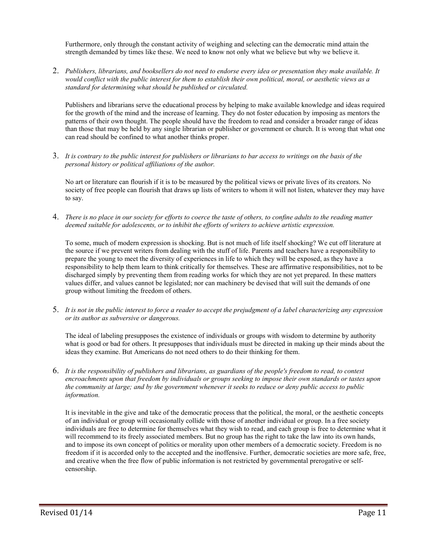Furthermore, only through the constant activity of weighing and selecting can the democratic mind attain the strength demanded by times like these. We need to know not only what we believe but why we believe it.

2. *Publishers, librarians, and booksellers do not need to endorse every idea or presentation they make available. It would conflict with the public interest for them to establish their own political, moral, or aesthetic views as a standard for determining what should be published or circulated.*

Publishers and librarians serve the educational process by helping to make available knowledge and ideas required for the growth of the mind and the increase of learning. They do not foster education by imposing as mentors the patterns of their own thought. The people should have the freedom to read and consider a broader range of ideas than those that may be held by any single librarian or publisher or government or church. It is wrong that what one can read should be confined to what another thinks proper.

3. *It is contrary to the public interest for publishers or librarians to bar access to writings on the basis of the personal history or political affiliations of the author.*

No art or literature can flourish if it is to be measured by the political views or private lives of its creators. No society of free people can flourish that draws up lists of writers to whom it will not listen, whatever they may have to say.

4. *There is no place in our society for efforts to coerce the taste of others, to confine adults to the reading matter deemed suitable for adolescents, or to inhibit the efforts of writers to achieve artistic expression.*

To some, much of modern expression is shocking. But is not much of life itself shocking? We cut off literature at the source if we prevent writers from dealing with the stuff of life. Parents and teachers have a responsibility to prepare the young to meet the diversity of experiences in life to which they will be exposed, as they have a responsibility to help them learn to think critically for themselves. These are affirmative responsibilities, not to be discharged simply by preventing them from reading works for which they are not yet prepared. In these matters values differ, and values cannot be legislated; nor can machinery be devised that will suit the demands of one group without limiting the freedom of others.

5. *It is not in the public interest to force a reader to accept the prejudgment of a label characterizing any expression or its author as subversive or dangerous.*

The ideal of labeling presupposes the existence of individuals or groups with wisdom to determine by authority what is good or bad for others. It presupposes that individuals must be directed in making up their minds about the ideas they examine. But Americans do not need others to do their thinking for them.

6. *It is the responsibility of publishers and librarians, as guardians of the people's freedom to read, to contest encroachments upon that freedom by individuals or groups seeking to impose their own standards or tastes upon the community at large; and by the government whenever it seeks to reduce or deny public access to public information.*

It is inevitable in the give and take of the democratic process that the political, the moral, or the aesthetic concepts of an individual or group will occasionally collide with those of another individual or group. In a free society individuals are free to determine for themselves what they wish to read, and each group is free to determine what it will recommend to its freely associated members. But no group has the right to take the law into its own hands, and to impose its own concept of politics or morality upon other members of a democratic society. Freedom is no freedom if it is accorded only to the accepted and the inoffensive. Further, democratic societies are more safe, free, and creative when the free flow of public information is not restricted by governmental prerogative or selfcensorship.